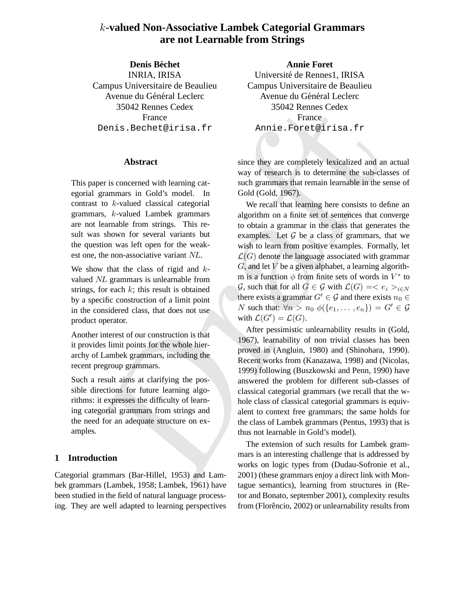# k**-valued Non-Associative Lambek Categorial Grammars are not Learnable from Strings**

**Denis Bechet ´** INRIA, IRISA Campus Universitaire de Beaulieu Avenue du Général Leclerc 35042 Rennes Cedex France Denis.Bechet@irisa.fr

# **Abstract**

This paper is concerned with learning categorial grammars in Gold's model. In contrast to k-valued classical categorial grammars, k-valued Lambek grammars are not learnable from strings. This result was shown for several variants but the question was left open for the weakest one, the non-associative variant NL.

We show that the class of rigid and  $k$ valued NL grammars is unlearnable from strings, for each  $k$ ; this result is obtained by a specific construction of a limit point in the considered class, that does not use product operator.

Another interest of our construction is that it provides limit points for the whole hierarchy of Lambek grammars, including the recent pregroup grammars.

Such a result aims at clarifying the possible directions for future learning algorithms: it expresses the difficulty of learning categorial grammars from strings and the need for an adequate structure on examples.

# **1 Introduction**

Categorial grammars (Bar-Hillel, 1953) and Lambek grammars (Lambek, 1958; Lambek, 1961) have been studied in the field of natural language processing. They are well adapted to learning perspectives

**Annie Foret** Université de Rennes1, IRISA Campus Universitaire de Beaulieu Avenue du Général Leclerc 35042 Rennes Cedex **France** Annie.Foret@irisa.fr

since they are completely lexicalized and an actual way of research is to determine the sub-classes of such grammars that remain learnable in the sense of Gold (Gold, 1967).

35042 Remnes Cedex<br>
Pennis . Bechet @irista . f.r<br>
Pennis . Bechet @irista . f.r<br>
Dennis . Bechet @irista . f.r<br>
Abstract<br>
per is concerned with learning cat-<br>
way of research is to determine the sub-day<br>
per is concerned We recall that learning here consists to define an algorithm on a finite set of sentences that converge to obtain a grammar in the class that generates the examples. Let  $G$  be a class of grammars, that we wish to learn from positive examples. Formally, let  $\mathcal{L}(G)$  denote the language associated with grammar  $G$ , and let  $V$  be a given alphabet, a learning algorithm is a function  $\phi$  from finite sets of words in  $V^*$  to  $\mathcal{G}$ , such that for all  $G \in \mathcal{G}$  with  $\mathcal{L}(G) = \langle e_i \rangle_{i \in N}$ there exists a grammar  $G' \in \mathcal{G}$  and there exists  $n_0 \in$ N such that:  $\forall n > n_0 \phi(\{e_1, \dots, e_n\}) = G' \in \mathcal{G}$ with  $\mathcal{L}(G') = \mathcal{L}(G)$ .

After pessimistic unlearnability results in (Gold, 1967), learnability of non trivial classes has been proved in (Angluin, 1980) and (Shinohara, 1990). Recent works from (Kanazawa, 1998) and (Nicolas, 1999) following (Buszkowski and Penn, 1990) have answered the problem for different sub-classes of classical categorial grammars (we recall that the whole class of classical categorial grammars is equivalent to context free grammars; the same holds for the class of Lambek grammars (Pentus, 1993) that is thus not learnable in Gold's model).

The extension of such results for Lambek grammars is an interesting challenge that is addressed by works on logic types from (Dudau-Sofronie et al., 2001) (these grammars enjoy a direct link with Montague semantics), learning from structures in (Retor and Bonato, september 2001), complexity results from (Florêncio, 2002) or unlearnability results from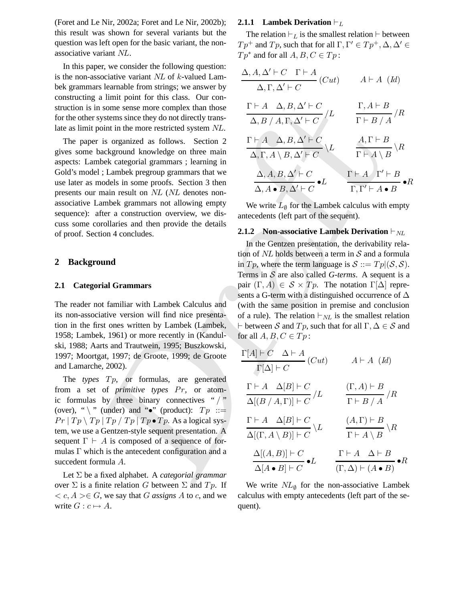(Foret and Le Nir, 2002a; Foret and Le Nir, 2002b); this result was shown for several variants but the question was left open for the basic variant, the nonassociative variant NL.

In this paper, we consider the following question: is the non-associative variant  $NL$  of  $k$ -valued Lambek grammars learnable from strings; we answer by constructing a limit point for this class. Our construction is in some sense more complex than those for the other systems since they do not directly translate as limit point in the more restricted system NL.

The paper is organized as follows. Section 2 gives some background knowledge on three main aspects: Lambek categorial grammars ; learning in Gold's model ; Lambek pregroup grammars that we use later as models in some proofs. Section 3 then presents our main result on NL (NL denotes nonassociative Lambek grammars not allowing empty sequence): after a construction overview, we discuss some corollaries and then provide the details of proof. Section 4 concludes.

### **2 Background**

### **2.1 Categorial Grammars**

The reader not familiar with Lambek Calculus and its non-associative version will find nice presentation in the first ones written by Lambek (Lambek, 1958; Lambek, 1961) or more recently in (Kandulski, 1988; Aarts and Trautwein, 1995; Buszkowski, 1997; Moortgat, 1997; de Groote, 1999; de Groote and Lamarche, 2002).

The *types* Tp, or formulas, are generated from a set of *primitive types* Pr, or atomic formulas by three binary connectives " $/$ " (over), "  $\setminus$  " (under) and " $\bullet$ " (product):  $Tp ::=$  $Pr | Tp \setminus Tp | Tp / Tp | Tp \bullet Tp$ . As a logical system, we use a Gentzen-style sequent presentation. A sequent  $\Gamma \vdash A$  is composed of a sequence of formulas Γ which is the antecedent configuration and a succedent formula A.

Let Σ be a fixed alphabet. A *categorial grammar* over  $\Sigma$  is a finite relation G between  $\Sigma$  and  $Tp$ . If  $\langle c, A \rangle \in G$ , we say that G *assigns A* to c, and we write  $G : c \mapsto A$ .

#### **2.1.1 Lambek Derivation**  $\vdash_L$

The relation  $\vdash_L$  is the smallest relation  $\vdash$  between  $Tp^+$  and  $Tp$ , such that for all  $\Gamma, \Gamma' \in Tp^+, \Delta, \Delta' \in$  $Tp^*$  and for all  $A, B, C \in Tp$ :

 $\Delta, A, \Delta' \vdash C \quad \Gamma \vdash A$  $\overline{\Delta, \Gamma, \Delta' \vdash C}$  (Cut)  $A \vdash A$  (Id)  $\Gamma \vdash A \quad \Delta, B, \Delta' \vdash C$  $/L$  $\Delta, B / A, \Gamma, \Delta' \vdash C$  $\Gamma, A \vdash B$ /R  $\Gamma \vdash B \mathbin{/} A$  $\Gamma \vdash A \quad \Delta, B, \Delta' \vdash C$  $\setminus L$  $\overline{\Delta}, \overline{\Gamma}, A \setminus B, \overline{\Delta'} \vdash C$  $A, \Gamma \vdash B$  $\setminus R$  $\Gamma \vdash A \setminus B$  $\Delta, A, B, \Delta' \vdash C$  $\overline{\Delta, A \bullet B, \Delta' \vdash C} \bullet L$  $\Gamma \vdash A \quad \Gamma' \vdash B$  $\bullet R$  $\Gamma, \Gamma' \vdash A \bullet B$ 

We write  $L_{\emptyset}$  for the Lambek calculus with empty antecedents (left part of the sequent).

#### **2.1.2 Non-associative Lambek Derivation**  $\vdash_{NL}$

In the Gentzen presentation, the derivability relation of  $NL$  holds between a term in  $S$  and a formula in  $Tp$ , where the term language is  $S ::= Tp|(\mathcal{S}, \mathcal{S})$ . Terms in S are also called *G-terms*. A sequent is a pair  $(\Gamma, A) \in S \times T_p$ . The notation  $\Gamma[\Delta]$  represents a G-term with a distinguished occurrence of  $\Delta$ (with the same position in premise and conclusion of a rule). The relation  $\vdash_{NL}$  is the smallest relation  $\vdash$  between S and  $Tp$ , such that for all  $\Gamma, \Delta \in S$  and for all  $A, B, C \in T_p$ :

n some sense more complex than those  
\nsystems since they do not directly trans-  
\npoint in the more restricted system NL.  
\nAs 
$$
f
$$
 A,  $F$ ,  $\Delta' + C$   
\nto that the more restricted system NL.  
\n $\Delta$ ,  $\beta$ ,  $\beta$ ,  $\beta$ ,  $\beta$ ,  $\beta$   
\n $\Delta$ ,  $\beta$ ,  $\Delta' + C$   
\n $\Delta$ ,  $\beta$ ,  $\Delta' + C$   
\n $\Delta$ ,  $\beta$ ,  $\Delta' + C$   
\n $\Delta$ ,  $\beta$ ,  $\Delta' + C$   
\n $\Delta$ ,  $\beta$ ,  $\Delta' + C$   
\n $\Delta$ ,  $\beta$ ,  $\Delta' + C$   
\n $\Delta$ ,  $\beta$ ,  $\Delta' + C$   
\n $\Delta$ ,  $\beta$ ,  $\Delta' + C$   
\n $\Delta$ ,  $\beta$ ,  $\Delta' + C$   
\n $\Delta$ ,  $\beta$ ,  $\Delta' + C$   
\n $\Delta$ ,  $\beta$ ,  $\Delta' + C$   
\n $\Delta$ ,  $\beta$ ,  $\Delta' + C$   
\n $\Delta$ ,  $\beta$ ,  $\Delta' + C$   
\n $\Delta$ ,  $\beta$ ,  $\Delta' + C$   
\n $\Delta$ ,  $\beta$ ,  $\Delta' + C$   
\n $\Delta$ ,  $\beta$ ,  $\Delta' + C$   
\n $\Delta$ ,  $\beta$ ,  $\Delta' + C$   
\n $\Delta$ ,  $\beta$ ,  $\Delta' + C$   
\n $\Delta$ ,  $\beta$ ,  $\Delta' + C$   
\n $\Delta$ ,  $\beta$ ,  $\Delta' + C$   
\n $\Delta$ ,  $\beta$ ,  $\Delta' + C$   
\n $\Delta$ ,  $\beta$ ,  $\Delta' + C$   
\n $\Delta$ ,  $\beta$ ,  $\Delta' + C$   
\n $\Delta$ ,  $\beta$ ,  $\Delta' + C$   
\

We write  $NL_{\emptyset}$  for the non-associative Lambek calculus with empty antecedents (left part of the sequent).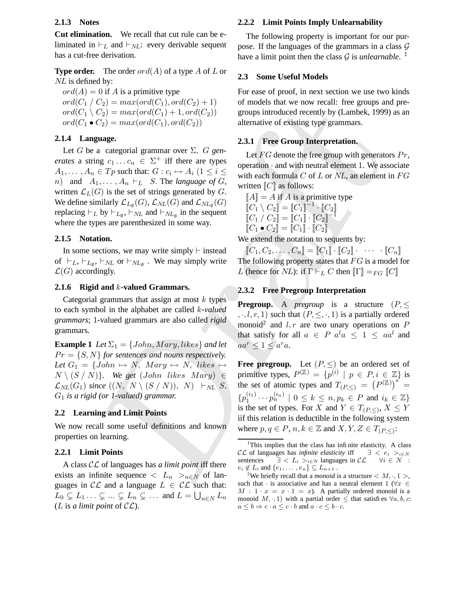# **2.1.3 Notes**

**Cut elimination.** We recall that cut rule can be eliminated in  $\vdash_L$  and  $\vdash_{NL}$ : every derivable sequent has a cut-free derivation.

**Type order.** The order ord(A) of a type A of L or NL is defined by:

 $ord(A) = 0$  if A is a primitive type  $ord(C_1 / C_2) = max(ord(C_1), ord(C_2) + 1)$  $ord(C_1 \setminus C_2) = max(ord(C_1) + 1, ord(C_2))$  $ord(C_1 \bullet C_2) = max(ord(C_1), ord(C_2))$ 

# **2.1.4 Language.**

Let G be a categorial grammar over Σ. G *generates* a string  $c_1 \ldots c_n \in \Sigma^+$  iff there are types  $A_1, \ldots, A_n \in Tp$  such that:  $G : c_i \mapsto A_i \ (1 \leq i \leq n)$ *n*) and  $A_1, \ldots, A_n \vdash_L S$ . The *language* of G, written  $\mathcal{L}_L(G)$  is the set of strings generated by G. We define similarly  $\mathcal{L}_{L_{\emptyset}}(G)$ ,  $\mathcal{L}_{NL}(G)$  and  $\mathcal{L}_{NL_{\emptyset}}(G)$ replacing  $\vdash_L$  by  $\vdash_{L_{\emptyset}}$ ,  $\vdash_{NL}$  and  $\vdash_{NL_{\emptyset}}$  in the sequent where the types are parenthesized in some way.

### **2.1.5 Notation.**

In some sections, we may write simply  $\vdash$  instead of  $\vdash_L, \vdash_{L_{\emptyset}}, \vdash_{NL}$  or  $\vdash_{NL_{\emptyset}}$ . We may simply write  $\mathcal{L}(G)$  accordingly.

# **2.1.6 Rigid and** k**-valued Grammars.**

Categorial grammars that assign at most  $k$  types to each symbol in the alphabet are called k*-valued grammars*; 1-valued grammars are also called *rigid* grammars.

**Example 1** *Let*  $\Sigma_1 = \{John, Mary, likes\}$  *and let*  $Pr = \{S, N\}$  *for sentences and nouns respectively.* Let  $G_1 = \{John \mapsto N, Mary \mapsto N, likes \mapsto \emptyset\}$  $N \setminus (S / N)$ *.* We get (John likes Mary)  $\in$  $\mathcal{L}_{NL}(G_1)$  since  $((N, N \setminus (S / N)), N) \vdash_{NL} S$ . G<sup>1</sup> *is a rigid (or 1-valued) grammar.*

# **2.2 Learning and Limit Points**

We now recall some useful definitions and known properties on learning.

### **2.2.1 Limit Points**

A class CL of languages has *a limit point* iff there exists an infinite sequence  $\langle L_n \rangle_{n \in \mathbb{N}}$  of languages in  $\mathcal{CL}$  and a language  $L \in \mathcal{CL}$  such that:  $L_0 \subsetneq L_1 \ldots \subsetneq \ldots \subsetneq L_n \subsetneq \ldots$  and  $L = \bigcup_{n \in N} L_n$ (*L* is *a limit point* of  $CL$ ).

#### **2.2.2 Limit Points Imply Unlearnability**

The following property is important for our purpose. If the languages of the grammars in a class  $G$ have a limit point then the class  $\mathcal G$  is *unlearnable*. <sup>1</sup>

### **2.3 Some Useful Models**

For ease of proof, in next section we use two kinds of models that we now recall: free groups and pregroups introduced recently by (Lambek, 1999) as an alternative of existing type grammars.

# **2.3.1 Free Group Interpretation.**

Let  $FG$  denote the free group with generators  $Pr$ , operation · and with neutral element 1. We associate with each formula  $C$  of  $L$  or  $NL$ , an element in  $FG$ written  $\llbracket C \rrbracket$  as follows:

 $\llbracket A \rrbracket = A$  if A is a primitive type  $[\![C_1 \setminus C_2]\!] = [\![C_1]\!]^{-1} \cdot [\![C_2]\!]$  $\llbracket C_1 \, / \, C_2 \rrbracket = \llbracket C_1 \rrbracket \cdot \llbracket C_2 \rrbracket^{-1}$  $[C_1 \bullet C_2] = [C_1] \cdot [C_2]$ 

We extend the notation to sequents by:

 $\llbracket C_1, C_2, \ldots, C_n \rrbracket = \llbracket C_1 \rrbracket \cdot \llbracket C_2 \rrbracket \cdot \cdots \cdot \llbracket C_n \rrbracket$ The following property states that  $FG$  is a model for L (hence for NL): if  $\Gamma \vdash_L C$  then  $\llbracket \Gamma \rrbracket =_{FG} \llbracket C \rrbracket$ 

### **2.3.2 Free Pregroup Interpretation**

**Pregroup.** A *pregroup* is a structure  $(P, \leq)$  $, \cdot, l, r, 1)$  such that  $(P, \leq, \cdot, 1)$  is a partially ordered monoid<sup>2</sup> and  $l, r$  are two unary operations on  $P$ that satisfy for all  $a \in P$   $a^l a \leq 1 \leq a a^l$  and  $aa^r \leq 1 \leq a^r a$ .

 $\epsilon_2$ ) =  $max(m\alpha(\epsilon_1), or\alpha(\epsilon_2))$  are to models and we now recurre to geopose included the control of the paper.<br>  $\epsilon_2$ ) =  $max(m\alpha(\epsilon_1), or\alpha(\epsilon_2))$  are to the control of exising type grammars.<br>  $\alpha_2$  and  $\alpha_3$  are to the contro **Free pregroup.** Let  $(P, \leq)$  be an ordered set of primitive types,  $P^{(\mathbb{Z})} = \{p^{(i)} \mid p \in P, i \in \mathbb{Z}\}\)$  is the set of atomic types and  $T_{(P,\leq)} = (P^{(\mathbb{Z})})^* =$  $\{p_1^{(i_1)}\}$  $p_1^{(i_1)} \cdots p_n^{(i_n)} \mid 0 \le k \le n, p_k \in P$  and  $i_k \in \mathbb{Z}$ is the set of types. For X and  $Y \in T_{(P,\leq)}$ ,  $X \leq Y$ iif this relation is deductible in the following system where  $p, q \in P$ ,  $n, k \in \mathbb{Z}$  and  $X, Y, Z \in T_{(P,\leq)}$ :

<sup>&</sup>lt;sup>1</sup>This implies that the class has infinite elasticity. A class CL of languages has *infinite* elasticity iff  $\exists$  <  $e_i$  ><sub>*i*∈N</sub> sentences  $\exists < L_i >_{i \in N}$  languages in  $\mathcal{CL}$  ∀ $i \in N$  :  $e_i \notin L_i$  and  $\{e_1, \ldots, e_n\} \subseteq L_{n+1}$ .

<sup>&</sup>lt;sup>2</sup>We briefly recall that a *monoid* is a structure  $\langle M, \cdot, 1 \rangle$ , such that  $\cdot$  is associative and has a neutral element 1 ( $\forall x \in$  $M : 1 \cdot x = x \cdot 1 = x$ . A partially ordered monoid is a monoid  $M$ ,  $\cdot$ , 1) with a partial order  $\leq$  that satisfies  $\forall a, b, c$ .  $a \leq b \Rightarrow c \cdot a \leq c \cdot b$  and  $a \cdot c \leq b \cdot c$ .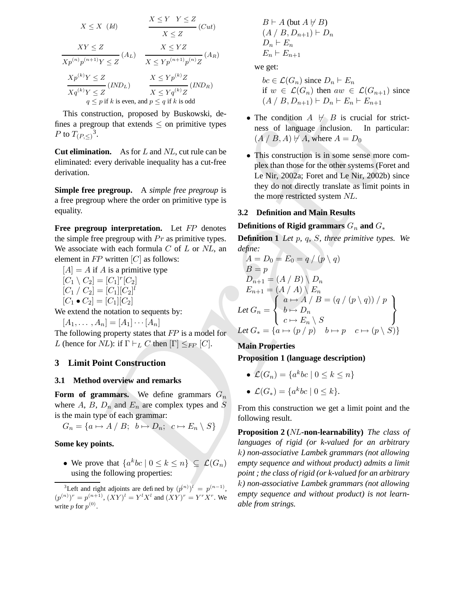$$
X \leq X \quad (Id)
$$
\n
$$
\frac{X \leq Y \quad Y \leq Z}{X \leq Z} \quad (Cut)
$$
\n
$$
\frac{XY \leq Z}{Xp^{(n)}p^{(n+1)}Y \leq Z} \quad (A_L)
$$
\n
$$
\frac{X \leq YZ}{X \leq Yp^{(n+1)}p^{(n)}Z} \quad (A_R)
$$
\n
$$
\frac{Xp^{(k)}Y \leq Z}{Xq^{(k)}Y \leq Z} \quad (IND_L)
$$
\n
$$
\frac{X \leq Yp^{(k)}Z}{X \leq Yq^{(k)}Z} \quad (IND_R)
$$
\n
$$
q \leq p \text{ if } k \text{ is even, and } p \leq q \text{ if } k \text{ is odd}
$$

This construction, proposed by Buskowski, defines a pregroup that extends  $\leq$  on primitive types  $P$  to  $T_{(P,\leq)}$ <sup>3</sup>.

**Cut elimination.** As for L and NL, cut rule can be eliminated: every derivable inequality has a cut-free derivation.

**Simple free pregroup.** A *simple free pregroup* is a free pregroup where the order on primitive type is equality.

**Free pregroup interpretation.** Let FP denotes the simple free pregroup with  $Pr$  as primitive types. We associate with each formula  $C$  of  $L$  or  $NL$ , an element in  $FP$  written  $[C]$  as follows:

$$
[A] = A \text{ if } A \text{ is a primitive type}
$$
  
\n
$$
[C_1 \setminus C_2] = [C_1]^r [C_2]
$$
  
\n
$$
[C_1 \setminus C_2] = [C_1][C_2]^l
$$
  
\n
$$
[C_1 \bullet C_2] = [C_1][C_2]
$$
  
\nWe extend the notation to sequents

We extend the notation to sequents by:

$$
[A_1,\ldots,A_n]=[A_1]\cdots[A_n]
$$

The following property states that FP is a model for L (hence for NL): if  $\Gamma \vdash_L C$  then  $[\Gamma] \leq_{FP} [C]$ .

# **3 Limit Point Construction**

### **3.1 Method overview and remarks**

**Form of grammars.** We define grammars  $G_n$ where  $A$ ,  $B$ ,  $D_n$  and  $E_n$  are complex types and  $S$ is the main type of each grammar:

 $G_n = \{a \mapsto A \mid B; \ b \mapsto D_n; \ c \mapsto E_n \setminus S\}$ 

# **Some key points.**

• We prove that  $\{a^kbc \mid 0 \le k \le n\} \subseteq \mathcal{L}(G_n)$ using the following properties:

$$
B \vdash A \text{ (but } A \not\vdash B)
$$
  
\n
$$
(A \not\mid B, D_{n+1}) \vdash D_n
$$
  
\n
$$
D_n \vdash E_n
$$
  
\n
$$
E_n \vdash E_{n+1}
$$

we get:

 $bc \in \mathcal{L}(G_n)$  since  $D_n \vdash E_n$ if  $w \in \mathcal{L}(G_n)$  then  $aw \in \mathcal{L}(G_{n+1})$  since  $(A / B, D_{n+1}) \vdash D_n \vdash E_n \vdash E_{n+1}$ 

- The condition  $A \not\vdash B$  is crucial for strictness of language inclusion. In particular:  $(A \mid B, A) \not\vdash A$ , where  $A = D_0$
- This construction is in some sense more complex than those for the other systems (Foret and Le Nir, 2002a; Foret and Le Nir, 2002b) since they do not directly translate as limit points in the more restricted system NL.

# **3.2 Definition and Main Results**

# **Definitions** of **Rigid** grammars  $G_n$  and  $G_*$

**Definition 1** *Let* p*,* q*,* S*, three primitive types. We define:*

Draft A = D<sup>0</sup> = E<sup>0</sup> = q / (p \ q) B = p Dn+1 = (A / B) \ D<sup>n</sup> En+1 = (A / A) \ E<sup>n</sup> *Let* G<sup>n</sup> = a 7→ A / B = (q / (p \ q)) / p b 7→ D<sup>n</sup> c 7→ E<sup>n</sup> \ S *Let* G<sup>∗</sup> = {a 7→ (p / p) b 7→ p c 7→ (p \ S)}

# **Main Properties**

**Proposition 1 (language description)**

• 
$$
\mathcal{L}(G_n) = \{a^k bc \mid 0 \leq k \leq n\}
$$

•  $\mathcal{L}(G_*) = \{a^k bc \mid 0 \leq k\}.$ 

From this construction we get a limit point and the following result.

**Proposition 2 (**NL**-non-learnability)** *The class of languages of rigid (or k-valued for an arbitrary* k*) non-associative Lambek grammars (not allowing empty sequence and without product) admits a limit point ; the class of rigid (or k-valued for an arbitrary* k*) non-associative Lambek grammars (not allowing empty sequence and without product) is not learnable from strings.*

<sup>&</sup>lt;sup>3</sup>Left and right adjoints are defined by  $(p^{(n)})^{\bar{l}} = p^{(n-1)}$ ,  $(p^{(n)})^r = p^{(n+1)}$ ,  $(XY)^l = Y^l X^l$  and  $(XY)^r = Y^r X^r$ . We write  $p$  for  $p^{(0)}$ .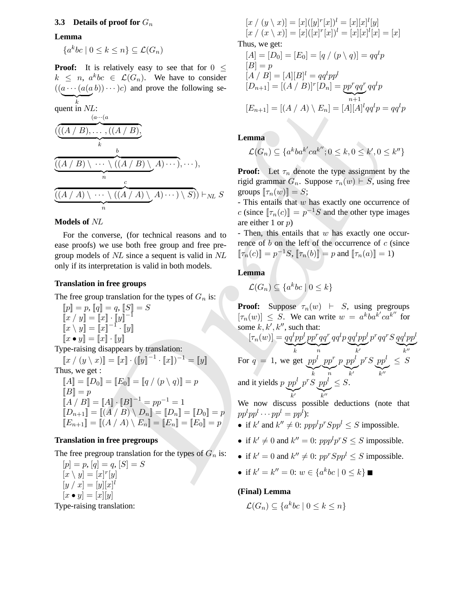# **3.3 Details of proof for** G<sup>n</sup>

### **Lemma**

 ${a^kbc \mid 0 \leq k \leq n} \subseteq \mathcal{L}(G_n)$ 

**Proof:** It is relatively easy to see that for  $0 <$  $k \leq n$ ,  $a^kbc \in \mathcal{L}(G_n)$ . We have to consider  $((a \cdots (a(a b)) \cdots )c)$  and prove the following se- $\sum_{k}$ k

quant in NL:  
\n
$$
\frac{((A/B),...,((A/B),
$$
  
\n
$$
(\frac{((A/B),...,((A/B),
$$
  
\n
$$
(\frac{(A/B),...,((A/B),}{n})
$$
  
\n
$$
(\frac{(A/B),...,((A/B),}{n})
$$
  
\n
$$
(\frac{(A/B),...,((A/B),}{n})
$$
  
\n
$$
(\frac{(A/B),...,((A/B),}{n})
$$
  
\n
$$
(\frac{(A/B),...,((A/B),}{n})
$$
  
\n
$$
(\frac{(A/B),...,((A/B),}{n})
$$
  
\n
$$
(\frac{(A/B),...,((A/B),}{n})
$$
  
\n
$$
(\frac{(A/B),...,((A/B),}{n})
$$
  
\n
$$
(\frac{(A/B),...,((A/B),}{n})
$$
  
\n
$$
(\frac{(A/B),...,((A/B),}{n})
$$
  
\n
$$
(\frac{(A/B),...,((A/B),}{n})
$$
  
\n
$$
(\frac{(A/B),...,((A/B),}{n})
$$
  
\n
$$
(\frac{(A/B),...,((A/B),}{n})
$$
  
\n
$$
(\frac{(A/B),...,((A/B),}{n})
$$
  
\n
$$
(\frac{(A/B),...,((A/B),}{n})
$$
  
\n
$$
(\frac{(A/B),...,((A/B),}{n})
$$
  
\n
$$
(\frac{(A/B),...,((A/B),}{n})
$$
  
\n
$$
(\frac{(A/B),...,((A/B),}{n})
$$
  
\n
$$
(\frac{(A/B),...,((A/B),}{n})
$$
  
\n
$$
(\frac{(A/B),...,((A/B),}{n})
$$
  
\n
$$
(\frac{(A/B),...,((A/B),}{n})
$$
  
\n
$$
(\frac{(A/B),...,((A/B),}{n})
$$
  
\n
$$
(\frac{(A/B),...,((A/B),}{n})
$$
  
\n
$$
(\frac{(A/B),...,((A/B),}{n})
$$
  
\n
$$
(\frac{(A/B),...,((A/B),}{n})
$$
  
\n
$$
(\frac{(A/B),...,((A/B),}{n})
$$
  
\n
$$
(\frac{(A/B),...,((A/B),}{n})
$$
  
\n
$$
(\
$$

#### **Models of** NL

For the converse, (for technical reasons and to ease proofs) we use both free group and free pregroup models of NL since a sequent is valid in NL only if its interpretation is valid in both models.

### **Translation in free groups**

The free group translation for the types of  $G_n$  is:

 $[\![p]\!] = p, [\![q]\!] = q, [\![S]\!] = S$  $\llbracket x \mid y \rrbracket = \llbracket x \rrbracket \cdot \llbracket y \rrbracket^{-1}$  $\llbracket x \setminus y \rrbracket = \llbracket x \rrbracket^{-1} \cdot \llbracket y \rrbracket$  $\llbracket x \bullet y \rrbracket = \llbracket x \rrbracket \cdot \llbracket y \rrbracket$ 

Type-raising disappears by translation:  $[x / (y \setminus x)] = [x] \cdot ([y]^{-1} \cdot [x])^{-1} = [y]$ Thus, we get :  $\llbracket A \rrbracket = \llbracket D_0 \rrbracket = \llbracket E_0 \rrbracket = \llbracket q \, / \, (p \setminus q) \rrbracket = p$  $\llbracket B \rrbracket = p$  $[A \mid B] = [A] \cdot [B]^{-1} = pp^{-1} = 1$  $[[D_{n+1}]] = [[A \mid B) \setminus D_n]] = [[D_n]] = [[D_0]] = p$  $[E_{n+1}] = [(A \mid A) \setminus E_n] = [E_n] = [E_0] = p$ 

# **Translation in free pregroups**

The free pregroup translation for the types of  $G_n$  is:

 $[p] = p, [q] = q, [S] = S$  $[x \setminus y] = [x]^r[y]$  $[y / x] = [y][x]^{l}$  $[x \bullet y] = [x][y]$ 

Type-raising translation:

$$
[x / (y \setminus x)] = [x]([y]^r [x])^l = [x][x]^l [y]
$$
  

$$
[x / (x \setminus x)] = [x]([x]^r [x])^l = [x][x]^l [x] = [x]
$$

Thus, we get:

$$
[A] = [D_0] = [E_0] = [q / (p \setminus q)] = qq^l p
$$
  
\n
$$
[B] = p
$$
  
\n
$$
[A / B] = [A][B]^l = qq^l pp^l
$$
  
\n
$$
[D_{n+1}] = [(A / B)]^r [D_n] = pp^r qq^r qq^l p
$$
  
\n
$$
[E_{n+1}] = [(A / A) \setminus E_n] = [A][A]^l qq^l p = qq^l p
$$

**Lemma**

$$
\mathcal{L}(G_n) \subseteq \{a^kba^{k'}ca^{k''}; 0 \leq k, 0 \leq k', 0 \leq k''\}
$$

**Proof:** Let  $\tau_n$  denote the type assignment by the rigid grammar  $G_n$ . Suppose  $\tau_n(w) \vdash S$ , using free groups  $[\![\tau_n(w)]\!]=S;$ 

- This entails that w has exactly one occurrence of c (since  $[\![\tau_n(c)]\!] = p^{-1}S$  and the other type images are either 1 or  $p$ )

- Then, this entails that  $w$  has exactly one occurrence of  $b$  on the left of the occurrence of  $c$  (since  $[\![\tau_n(c)]\!] = p^{-1}S$ ,  $[\![\tau_n(b)]\!] = p$  and  $[\![\tau_n(a)]\!] = 1$ )

**Lemma**

$$
\mathcal{L}(G_n) \subseteq \{a^k bc \mid 0 \le k\}
$$

**Proof:** Suppose  $\tau_n(w)$   $\vdash$  *S*, using pregroups  $[\tau_n(w)] \leq S$ . We can write  $w = a^kba^{k'}ca^{k''}$  for some  $k, k', k''$ , such that:

$$
[\tau_n(w)] = \underbrace{qq^lpp^l}_{k} \underbrace{pp^rqq^r}_{n} qq^l p \underbrace{qq^lpp^l}_{k'} p^r qq^r S \underbrace{qq^lpp^l}_{k''}
$$
  
For  $q = 1$ , we get 
$$
\underbrace{pp^l}_{k} \underbrace{pp^r}_{n} p \underbrace{pp^l}_{k'} p^r S \underbrace{pp^l}_{k''} \leq S
$$
  
and it yields  $p \text{ } pp^l \text{ } p^r S \text{ } pp^l \leq S$ .

 $\sum_{k'}$ k  $\overline{1}$  $\overline{k}$ <sup>11</sup> We now discuss possible deductions (note that

 $pp^lpp^l\cdots pp^l=pp^l$ :

- if k' and  $k'' \neq 0$ :  $ppp^lp^rSpp^l \leq S$  impossible.
- if  $k' \neq 0$  and  $k'' = 0$ :  $ppp^l p^r S \leq S$  impossible.
- if  $k' = 0$  and  $k'' \neq 0$ :  $pp^r Spp^l \leq S$  impossible.
- if  $k' = k'' = 0$ :  $w \in \{a^k bc \mid 0 \le k\}$

### **(Final) Lemma**

 $\mathcal{L}(G_n) \subseteq \{a^kbc \mid 0 \leq k \leq n\}$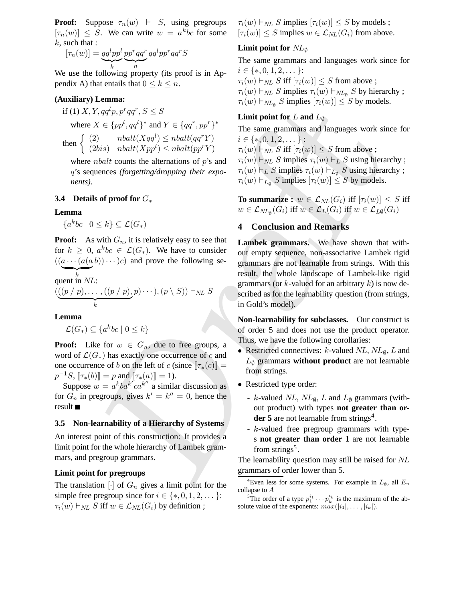**Proof:** Suppose  $\tau_n(w)$   $\vdash$  *S*, using pregroups  $[\tau_n(w)] \leq S$ . We can write  $w = a^k b c$  for some  $k$ , such that :

$$
[\tau_n(w)] = \underbrace{qq^lpp^l}_{k} \underbrace{pp^rqq^r}_{n} qq^lpp^rqq^rS
$$

We use the following property (its proof is in Appendix A) that entails that  $0 \leq k \leq n$ .

# **(Auxiliary) Lemma:**

if (1) 
$$
X, Y, qq^l p, p^r qq^r, S \leq S
$$
  
where  $X \in \{pp^l, qq^l\}^*$  and  $Y \in \{qq^r, pp^r\}^*$   
then  $\int (2)$   $nbalt(Xqq^l) \leq mbalt(qq^rY)$ 

$$
\text{then } \begin{cases} (2) & nbalt(Xqq^l) \le nbalt(qq^rY) \\ (2bis) & nbalt(Xpp^l) \le nbalt(pp^rY) \end{cases}
$$

where *nbalt* counts the alternations of  $p$ 's and q's sequences *(forgetting/dropping their exponents)*.

### **3.4 Details of proof for** G<sup>∗</sup>

**Lemma**

 $\{a^kbc \mid 0 \leq k\} \subseteq \mathcal{L}(G_*)$ 

**Proof:** As with  $G_n$ , it is relatively easy to see that for  $k \geq 0$ ,  $a^kbc \in \mathcal{L}(G_*)$ . We have to consider  $((a \cdots (a(a b)) \cdots )c)$  and prove the following se- $\sum_{k}$ 

quent in  $NL$ :

$$
(\underbrace{((p / p), \dots, ((p / p), p) \cdots), (p \setminus S))}_{k} \vdash_{NL} S
$$

**Lemma**

$$
\mathcal{L}(G_*) \subseteq \{a^k bc \mid 0 \le k\}
$$

**Proof:** Like for  $w \in G_n$ , due to free groups, a word of  $\mathcal{L}(G_*)$  has exactly one occurrence of c and one occurrence of b on the left of c (since  $[\![\tau_*(c)]\!] =$  $p^{-1}S$ ,  $[\![\tau_*(b)]\!] = p$  and  $[\![\tau_*(a)]\!] = 1$ ).

Suppose  $w = a^kba^{k'}ca^{k''}$  a similar discussion as for  $G_n$  in pregroups, gives  $k' = k'' = 0$ , hence the result

### **3.5 Non-learnability of a Hierarchy of Systems**

An interest point of this construction: It provides a limit point for the whole hierarchy of Lambek grammars, and pregroup grammars.

### **Limit point for pregroups**

The translation  $\lceil \cdot \rceil$  of  $G_n$  gives a limit point for the simple free pregroup since for  $i \in \{*,0,1,2,\dots\}$ :  $\tau_i(w) \vdash_{NL} S$  iff  $w \in \mathcal{L}_{NL}(G_i)$  by definition;

 $\tau_i(w) \vdash_{NL} S$  implies  $[\tau_i(w)] \leq S$  by models ;  $[\tau_i(w)] \leq S$  implies  $w \in \mathcal{L}_{NL}(G_i)$  from above.

# **Limit point for** NL<sup>∅</sup>

The same grammars and languages work since for  $i \in \{*, 0, 1, 2, \dots\}$ :  $\tau_i(w) \vdash_{NL} S$  iff  $[\tau_i(w)] \leq S$  from above ;

 $\tau_i(w) \vdash_{NL} S$  implies  $\tau_i(w) \vdash_{NL_{\emptyset}} S$  by hierarchy;  $\tau_i(w) \vdash_{NL_{\emptyset}} S$  implies  $[\tau_i(w)] \leq S$  by models.

# **Limit point** for L **and**  $L_{\emptyset}$

The same grammars and languages work since for  $i \in \{*, 0, 1, 2, \dots\}$ :  $\tau_i(w) \vdash_{NL} S$  iff  $[\tau_i(w)] \leq S$  from above;  $\tau_i(w) \vdash_{NL} S$  implies  $\tau_i(w) \vdash_L S$  using hierarchy;  $\tau_i(w) \vdash_L S$  implies  $\tau_i(w) \vdash_{L_{\emptyset}} S$  using hierarchy;  $\tau_i(w) \vdash_{L_{\emptyset}} S$  implies  $[\tau_i(w)] \leq S$  by models.

**To** summarize :  $w \in \mathcal{L}_{NL}(G_i)$  iff  $[\tau_i(w)] \leq S$  iff  $w \in \mathcal{L}_{NL_{\emptyset}}(G_i)$  iff  $w \in \mathcal{L}_L(G_i)$  iff  $w \in \mathcal{L}_{L\emptyset}(G_i)$ 

# **4 Conclusion and Remarks**

7.  $q(p, p'qq', S \leq S$ <br>  $X \in \{pp', pq^n, S \leq S\}$ <br>  $\text{Limit}(Xqq') \text{ and } Y \in \{qq', pp^r\}^*$ <br>  $\text{Hint } \text{point}(X(pq) \leq \text{d} \text{ and } Y \in \{qq', pp^r\}^*$ <br>
The same grammars and languages work since  $\text{dist}(Xqp') \leq \text{hd}(H(qq^r)')$ <br>  $\tau(w) \vdash_{\mathcal{W}} S \text{ iff } \tau(w) \leq S \text{ from above$ **Lambek grammars.** We have shown that without empty sequence, non-associative Lambek rigid grammars are not learnable from strings. With this result, the whole landscape of Lambek-like rigid grammars (or  $k$ -valued for an arbitrary  $k$ ) is now described as for the learnability question (from strings, in Gold's model).

**Non-learnability for subclasses.** Our construct is of order 5 and does not use the product operator. Thus, we have the following corollaries:

- Restricted connectives:  $k$ -valued  $NL$ ,  $NL_{\emptyset}$ ,  $L$  and  $L_{\emptyset}$  grammars **without product** are not learnable from strings.
- Restricted type order:
	- k-valued NL,  $NL_{\emptyset}$ , L and  $L_{\emptyset}$  grammars (without product) with types **not greater than or**der 5 are not learnable from strings<sup>4</sup>.
	- k-valued free pregroup grammars with types **not greater than order 1** are not learnable from strings<sup>5</sup>.

The learnability question may still be raised for NL grammars of order lower than 5.

<sup>4</sup>Even less for some systems. For example in  $L_{\emptyset}$ , all  $E_n$ collapse to A

<sup>&</sup>lt;sup>5</sup>The order of a type  $p_1^{i_1} \cdots p_k^{i_k}$  is the maximum of the absolute value of the exponents:  $max(|i_1|, \ldots, |i_k|)$ .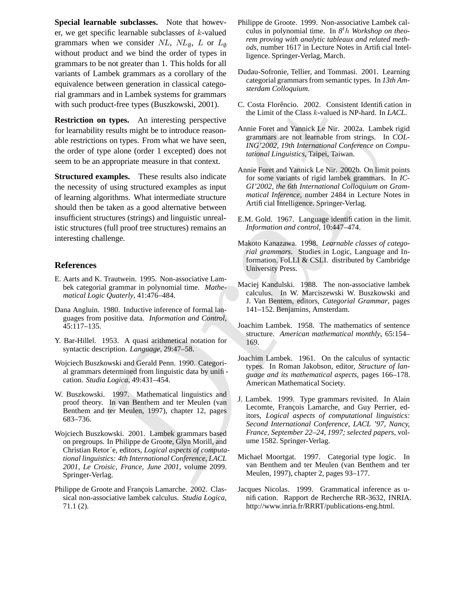**Special learnable subclasses.** Note that however, we get specific learnable subclasses of  $k$ -valued grammars when we consider  $NL$ ,  $NL$ <sub> $\emptyset$ </sub>,  $L$  or  $L_{\emptyset}$ without product and we bind the order of types in grammars to be not greater than 1. This holds for all variants of Lambek grammars as a corollary of the equivalence between generation in classical categorial grammars and in Lambek systems for grammars with such product-free types (Buszkowski, 2001).

**Restriction on types.** An interesting perspective for learnability results might be to introduce reasonable restrictions on types. From what we have seen, the order of type alone (order 1 excepted) does not seem to be an appropriate measure in that context.

oduct-free types (Buszkowski, 2001). C. Costar Floreheic. 2002. C. Costar Hoten is types. An interesting perspective<br>
on the Limit of the Class *k*-valued is NP-hard. In<br>
ty results might be to introduce reason-<br>
Since th **Structured examples.** These results also indicate the necessity of using structured examples as input of learning algorithms. What intermediate structure should then be taken as a good alternative between insufficient structures (strings) and linguistic unrealistic structures (full proof tree structures) remains an interesting challenge.

# **References**

- E. Aarts and K. Trautwein. 1995. Non-associative Lambek categorial grammar in polynomial time. *Mathematical Logic Quaterly*, 41:476–484.
- Dana Angluin. 1980. Inductive inference of formal languages from positive data. *Information and Control*, 45:117–135.
- Y. Bar-Hillel. 1953. A quasi arithmetical notation for syntactic description. *Language*, 29:47–58.
- Wojciech Buszkowski and Gerald Penn. 1990. Categorial grammars determined from linguistic data by unification. *Studia Logica*, 49:431–454.
- W. Buszkowski. 1997. Mathematical linguistics and proof theory. In van Benthem and ter Meulen (van Benthem and ter Meulen, 1997), chapter 12, pages 683–736.
- Wojciech Buszkowski. 2001. Lambek grammars based on pregroups. In Philippe de Groote, Glyn Morill, and Christian Retor´e, editors, *Logical aspects of computational linguistics: 4th International Conference, LACL 2001, Le Croisic, France, June 2001*, volume 2099. Springer-Verlag.
- Philippe de Groote and François Lamarche. 2002. Classical non-associative lambek calculus. *Studia Logica*, 71.1 (2).
- Philippe de Groote. 1999. Non-associative Lambek calculus in polynomial time. In  $8<sup>t</sup>h$  *Workshop on theorem proving with analytic tableaux and related methods*, number 1617 in Lecture Notes in Artificial Intelligence. Springer-Verlag, March.
- Dudau-Sofronie, Tellier, and Tommasi. 2001. Learning categorial grammars from semantic types. In 13th Am*sterdam Colloquium*.
- C. Costa Florêncio. 2002. Consistent Identification in the Limit of the Class k-valued is NP-hard. In *LACL*.
- Annie Foret and Yannick Le Nir. 2002a. Lambek rigid grammars are not learnable from strings. In *COL-ING'2002, 19th International Conference on Computational Linguistics*, Taipei, Taiwan.
- Annie Foret and Yannick Le Nir. 2002b. On limit points for some variants of rigid lambek grammars. In *IC-GI'2002, the 6th International Colloquium on Grammatical Inference*, number 2484 in Lecture Notes in Artificial Intelligence. Springer-Verlag.
- E.M. Gold. 1967. Language identification in the limit. *Information and control*, 10:447–474.
- Makoto Kanazawa. 1998. *Learnable classes of categorial grammars*. Studies in Logic, Language and Information. FoLLI & CSLI. distributed by Cambridge University Press.
- Maciej Kandulski. 1988. The non-associative lambek calculus. In W. Marciszewski W. Buszkowski and J. Van Bentem, editors, *Categorial Grammar*, pages 141–152. Benjamins, Amsterdam.
- Joachim Lambek. 1958. The mathematics of sentence structure. *American mathematical monthly*, 65:154– 169.
- Joachim Lambek. 1961. On the calculus of syntactic types. In Roman Jakobson, editor, *Structure of language and its mathematical aspects*, pages 166–178. American Mathematical Society.
- J. Lambek. 1999. Type grammars revisited. In Alain Lecomte, François Lamarche, and Guy Perrier, editors, *Logical aspects of computational linguistics: Second International Conference, LACL '97, Nancy, France, September 22–24, 1997; selected papers*, volume 1582. Springer-Verlag.
- Michael Moortgat. 1997. Categorial type logic. In van Benthem and ter Meulen (van Benthem and ter Meulen, 1997), chapter 2, pages 93–177.
- Jacques Nicolas. 1999. Grammatical inference as unification. Rapport de Recherche RR-3632, INRIA. http://www.inria.fr/RRRT/publications-eng.html.